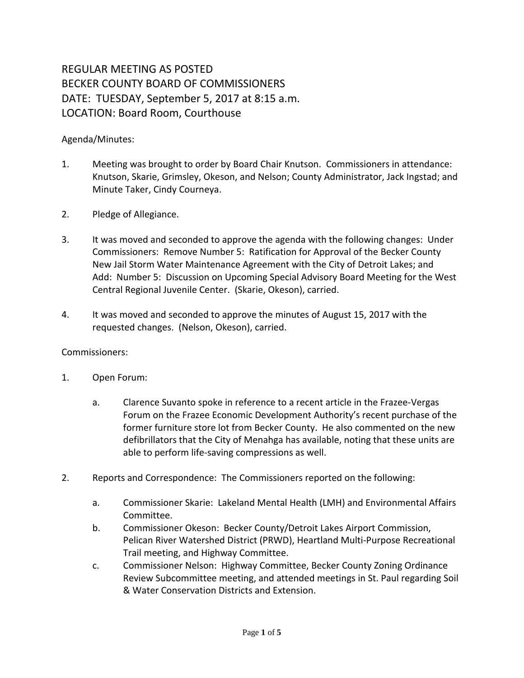## REGULAR MEETING AS POSTED BECKER COUNTY BOARD OF COMMISSIONERS DATE: TUESDAY, September 5, 2017 at 8:15 a.m. LOCATION: Board Room, Courthouse

## Agenda/Minutes:

- 1. Meeting was brought to order by Board Chair Knutson. Commissioners in attendance: Knutson, Skarie, Grimsley, Okeson, and Nelson; County Administrator, Jack Ingstad; and Minute Taker, Cindy Courneya.
- 2. Pledge of Allegiance.
- 3. It was moved and seconded to approve the agenda with the following changes: Under Commissioners: Remove Number 5: Ratification for Approval of the Becker County New Jail Storm Water Maintenance Agreement with the City of Detroit Lakes; and Add: Number 5: Discussion on Upcoming Special Advisory Board Meeting for the West Central Regional Juvenile Center. (Skarie, Okeson), carried.
- 4. It was moved and seconded to approve the minutes of August 15, 2017 with the requested changes. (Nelson, Okeson), carried.

## Commissioners:

- 1. Open Forum:
	- a. Clarence Suvanto spoke in reference to a recent article in the Frazee-Vergas Forum on the Frazee Economic Development Authority's recent purchase of the former furniture store lot from Becker County. He also commented on the new defibrillators that the City of Menahga has available, noting that these units are able to perform life-saving compressions as well.
- 2. Reports and Correspondence: The Commissioners reported on the following:
	- a. Commissioner Skarie: Lakeland Mental Health (LMH) and Environmental Affairs Committee.
	- b. Commissioner Okeson: Becker County/Detroit Lakes Airport Commission, Pelican River Watershed District (PRWD), Heartland Multi-Purpose Recreational Trail meeting, and Highway Committee.
	- c. Commissioner Nelson: Highway Committee, Becker County Zoning Ordinance Review Subcommittee meeting, and attended meetings in St. Paul regarding Soil & Water Conservation Districts and Extension.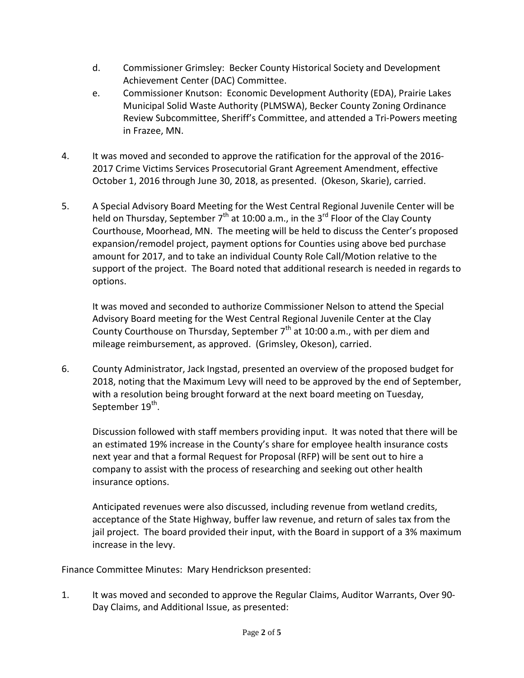- d. Commissioner Grimsley: Becker County Historical Society and Development Achievement Center (DAC) Committee.
- e. Commissioner Knutson: Economic Development Authority (EDA), Prairie Lakes Municipal Solid Waste Authority (PLMSWA), Becker County Zoning Ordinance Review Subcommittee, Sheriff's Committee, and attended a Tri-Powers meeting in Frazee, MN.
- 4. It was moved and seconded to approve the ratification for the approval of the 2016- 2017 Crime Victims Services Prosecutorial Grant Agreement Amendment, effective October 1, 2016 through June 30, 2018, as presented. (Okeson, Skarie), carried.
- 5. A Special Advisory Board Meeting for the West Central Regional Juvenile Center will be held on Thursday, September  $7<sup>th</sup>$  at 10:00 a.m., in the 3<sup>rd</sup> Floor of the Clay County Courthouse, Moorhead, MN. The meeting will be held to discuss the Center's proposed expansion/remodel project, payment options for Counties using above bed purchase amount for 2017, and to take an individual County Role Call/Motion relative to the support of the project. The Board noted that additional research is needed in regards to options.

It was moved and seconded to authorize Commissioner Nelson to attend the Special Advisory Board meeting for the West Central Regional Juvenile Center at the Clay County Courthouse on Thursday, September  $7<sup>th</sup>$  at 10:00 a.m., with per diem and mileage reimbursement, as approved. (Grimsley, Okeson), carried.

6. County Administrator, Jack Ingstad, presented an overview of the proposed budget for 2018, noting that the Maximum Levy will need to be approved by the end of September, with a resolution being brought forward at the next board meeting on Tuesday, September 19<sup>th</sup>.

Discussion followed with staff members providing input. It was noted that there will be an estimated 19% increase in the County's share for employee health insurance costs next year and that a formal Request for Proposal (RFP) will be sent out to hire a company to assist with the process of researching and seeking out other health insurance options.

Anticipated revenues were also discussed, including revenue from wetland credits, acceptance of the State Highway, buffer law revenue, and return of sales tax from the jail project. The board provided their input, with the Board in support of a 3% maximum increase in the levy.

Finance Committee Minutes: Mary Hendrickson presented:

1. It was moved and seconded to approve the Regular Claims, Auditor Warrants, Over 90- Day Claims, and Additional Issue, as presented: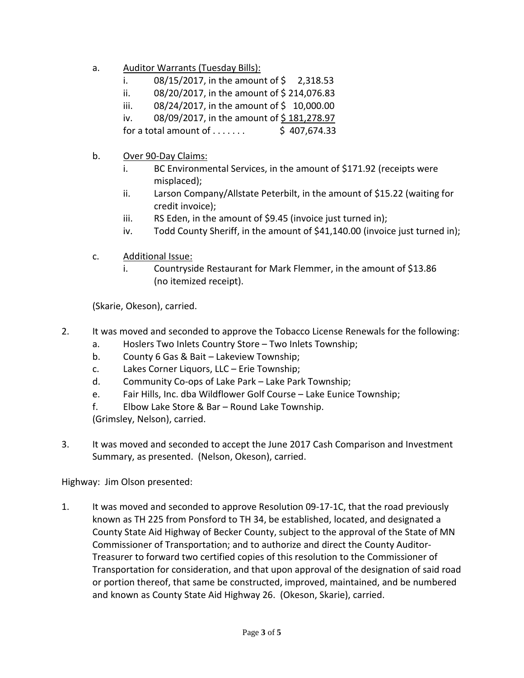- a. Auditor Warrants (Tuesday Bills):
	- i.  $08/15/2017$ , in the amount of \$ 2,318.53
	- ii.  $08/20/2017$ , in the amount of \$214,076.83
	- iii.  $08/24/2017$ , in the amount of \$ 10,000.00
	- iv. 08/09/2017, in the amount of \$181,278.97

for a total amount of  $\dots$ ...... \$ 407,674.33

- b. Over 90-Day Claims:
	- i. BC Environmental Services, in the amount of \$171.92 (receipts were misplaced);
	- ii. Larson Company/Allstate Peterbilt, in the amount of \$15.22 (waiting for credit invoice);
	- iii. RS Eden, in the amount of \$9.45 (invoice just turned in);
	- iv. Todd County Sheriff, in the amount of \$41,140.00 (invoice just turned in);
- c. Additional Issue:
	- i. Countryside Restaurant for Mark Flemmer, in the amount of \$13.86 (no itemized receipt).

(Skarie, Okeson), carried.

- 2. It was moved and seconded to approve the Tobacco License Renewals for the following:
	- a. Hoslers Two Inlets Country Store Two Inlets Township;
	- b. County 6 Gas & Bait Lakeview Township;
	- c. Lakes Corner Liquors, LLC Erie Township;
	- d. Community Co-ops of Lake Park Lake Park Township;
	- e. Fair Hills, Inc. dba Wildflower Golf Course Lake Eunice Township;
	- f. Elbow Lake Store & Bar Round Lake Township.

(Grimsley, Nelson), carried.

3. It was moved and seconded to accept the June 2017 Cash Comparison and Investment Summary, as presented. (Nelson, Okeson), carried.

Highway: Jim Olson presented:

1. It was moved and seconded to approve Resolution 09-17-1C, that the road previously known as TH 225 from Ponsford to TH 34, be established, located, and designated a County State Aid Highway of Becker County, subject to the approval of the State of MN Commissioner of Transportation; and to authorize and direct the County Auditor-Treasurer to forward two certified copies of this resolution to the Commissioner of Transportation for consideration, and that upon approval of the designation of said road or portion thereof, that same be constructed, improved, maintained, and be numbered and known as County State Aid Highway 26. (Okeson, Skarie), carried.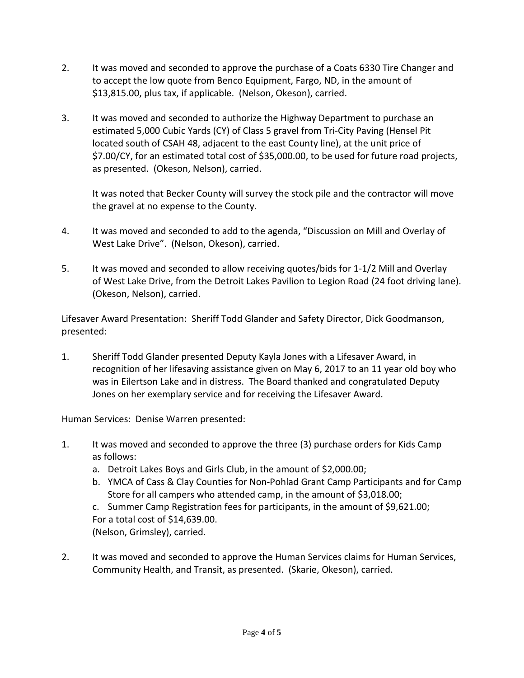- 2. It was moved and seconded to approve the purchase of a Coats 6330 Tire Changer and to accept the low quote from Benco Equipment, Fargo, ND, in the amount of \$13,815.00, plus tax, if applicable. (Nelson, Okeson), carried.
- 3. It was moved and seconded to authorize the Highway Department to purchase an estimated 5,000 Cubic Yards (CY) of Class 5 gravel from Tri-City Paving (Hensel Pit located south of CSAH 48, adjacent to the east County line), at the unit price of \$7.00/CY, for an estimated total cost of \$35,000.00, to be used for future road projects, as presented. (Okeson, Nelson), carried.

It was noted that Becker County will survey the stock pile and the contractor will move the gravel at no expense to the County.

- 4. It was moved and seconded to add to the agenda, "Discussion on Mill and Overlay of West Lake Drive". (Nelson, Okeson), carried.
- 5. It was moved and seconded to allow receiving quotes/bids for 1-1/2 Mill and Overlay of West Lake Drive, from the Detroit Lakes Pavilion to Legion Road (24 foot driving lane). (Okeson, Nelson), carried.

Lifesaver Award Presentation: Sheriff Todd Glander and Safety Director, Dick Goodmanson, presented:

1. Sheriff Todd Glander presented Deputy Kayla Jones with a Lifesaver Award, in recognition of her lifesaving assistance given on May 6, 2017 to an 11 year old boy who was in Eilertson Lake and in distress. The Board thanked and congratulated Deputy Jones on her exemplary service and for receiving the Lifesaver Award.

Human Services: Denise Warren presented:

- 1. It was moved and seconded to approve the three (3) purchase orders for Kids Camp as follows:
	- a. Detroit Lakes Boys and Girls Club, in the amount of \$2,000.00;
	- b. YMCA of Cass & Clay Counties for Non-Pohlad Grant Camp Participants and for Camp Store for all campers who attended camp, in the amount of \$3,018.00;

c. Summer Camp Registration fees for participants, in the amount of \$9,621.00; For a total cost of \$14,639.00. (Nelson, Grimsley), carried.

2. It was moved and seconded to approve the Human Services claims for Human Services, Community Health, and Transit, as presented. (Skarie, Okeson), carried.